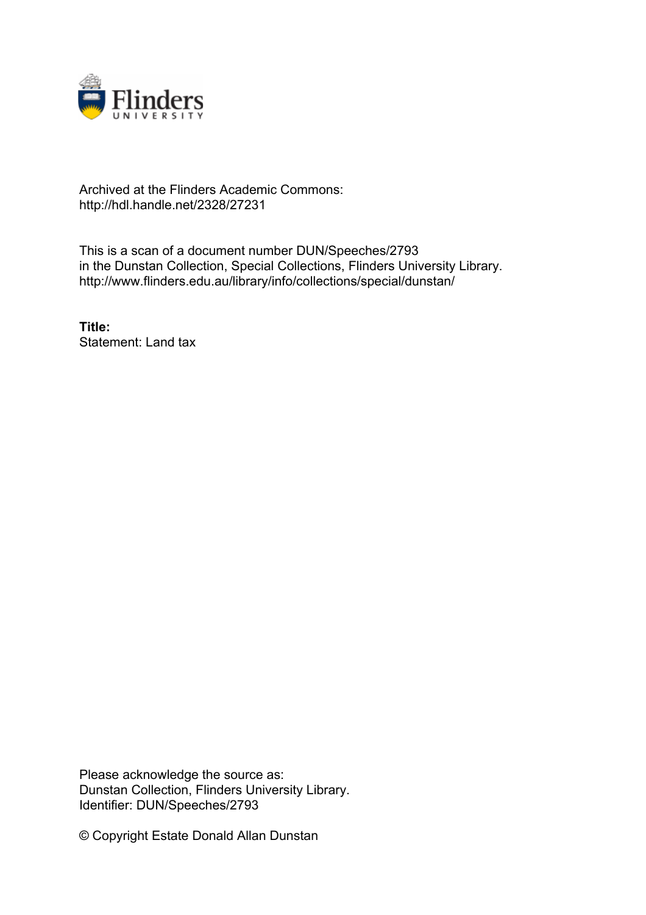

# Archived at the Flinders Academic Commons: http://hdl.handle.net/2328/27231

This is a scan of a document number DUN/Speeches/2793 in the Dunstan Collection, Special Collections, Flinders University Library. http://www.flinders.edu.au/library/info/collections/special/dunstan/

**Title:** Statement: Land tax

Please acknowledge the source as: Dunstan Collection, Flinders University Library. Identifier: DUN/Speeches/2793

© Copyright Estate Donald Allan Dunstan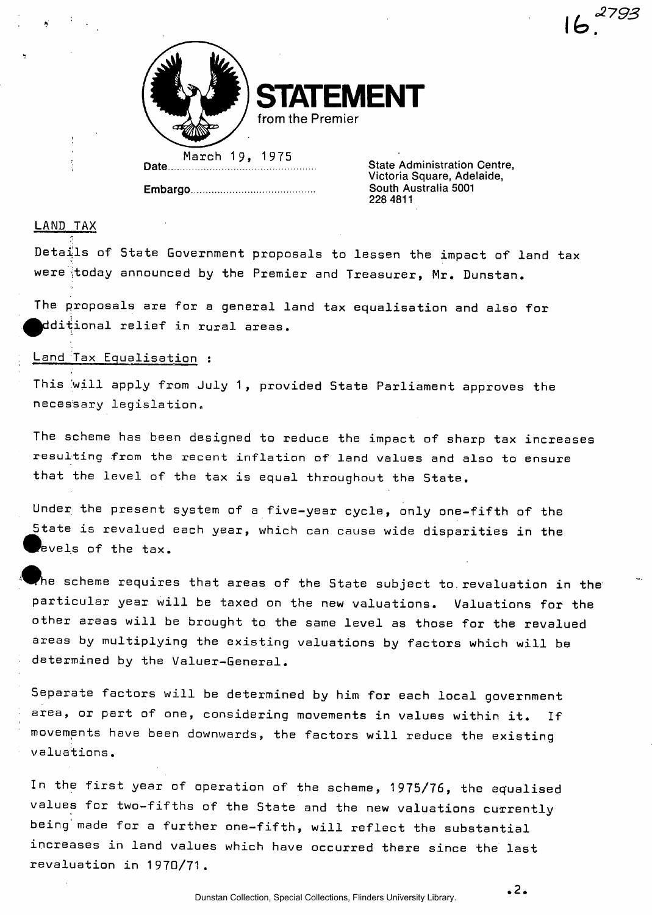

**STATEMENT from the Premier** 

March 19, 1975 **Date** 

**Embargo** 

**State Administration Centre, Victoria Square, Adelaide, South Australia 5001 228 4811** 

 $16<sup>2793</sup>$ 

### LAND TAX

Details of State Government proposals to lessen the impact of land tax were today announced by the Premier and Treasurer, Mr. Dunstan.

The proposals are for a general land tax equalisation and also for ^^dditional relief in rural areas.

#### Land Tax Equalisation :

This will apply from July 1, provided State Parliament approves the necessary legislation.

The scheme has been designed to reduce the impact of sharp tax increases resulting from the recent inflation of land values and also to ensure that the level of the tax is equal throughout the State.

Under the present system of a five-year cycle, only one-fifth of the State is revalued each year, which can cause wide disparities in the  $\overline{\phantom{a}}$ evels of the tax.

he scheme requires that areas of the State subject to revaluation in the particular year will be taxed on the new valuations. Valuations for the other areas will be brought to the same level as those for the revalued areas by multiplying the existing valuations by factors which will be determined by the Valuer-General.

Separate factors will be determined by him for each local government area, or part of one, considering movements in values within it. If movements have been downwards, the factors will reduce the existing valuations.

In the first year of operation of the scheme, 1975/76, the equalised values for two-fifths of the State and the new valuations currently being'made for a further one-fifth, will reflect the substantial increases in land values which have occurred there since the last revaluation in 1970/71.

**2 .**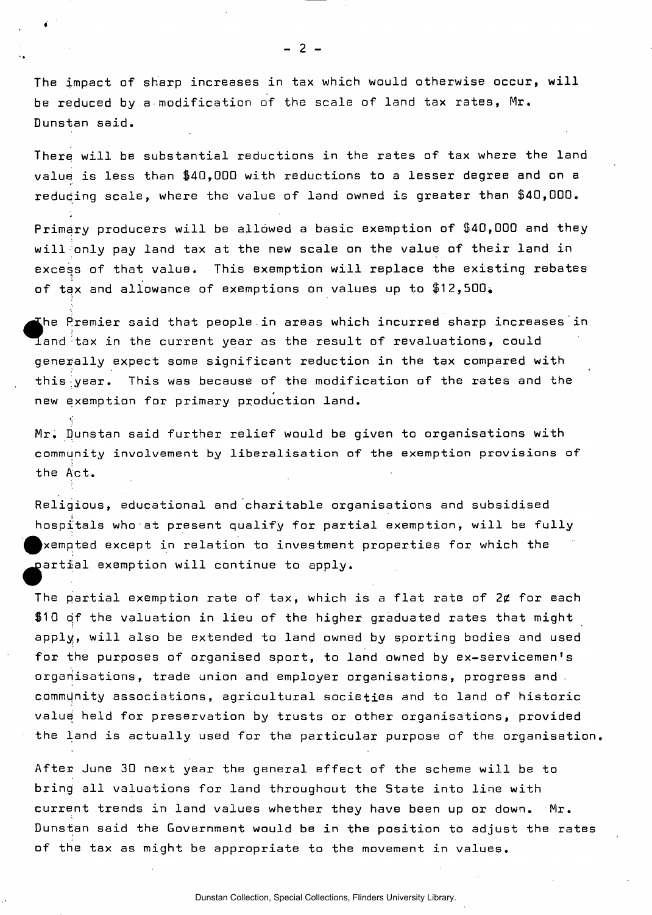The impact of sharp increases in tax which would otherwise occur, will be reduced by a modification of the scale of land tax rates, Mr. Dunstan said.

There will be substantial reductions in the rates of tax where the land value is less than \$40,000 with reductions to a lesser degree and on a reducing scale, where the value of land owned is greater than \$40,000.

Primary producers will be allowed a basic exemption of \$40,000 and they will only pay land tax at the new scale on the value of their land in excess of that value. This exemption will replace the existing rebates of tax and allowance of exemptions on values up to  $$12,500$ .

he Premier said that people.in areas which incurred sharp increases in  ${\tt I}$ and tax in the current year as the result of revaluations, could generally expect some significant reduction in the tax compared with this year. This was because of the modification of the rates and the new exemption for primary production land.

Mr. Dunstan said further relief would be given to organisations with community involvement by liberalisation of the exemption provisions of the Act.

Religious, educational and charitable organisations and subsidised hospitals who at present qualify for partial exemption, will be fully ^xempted except in relation to investment properties for which the partial exemption will continue to apply.

The partial exemption rate of tax, which is a flat rate of  $2\not\!$  for each \$10 of the valuation in lieu of the higher graduated rates that might apply, will also be extended to land owned by sporting bodies and used for the purposes of organised sport, to land owned by ex-servicemen's organisations, trade union and employer organisations, progress and community associations, agricultural societies and to land of historic value held for preservation by trusts or other organisations, provided the land is actually used for the particular purpose of the organisation,

After June 30 next year the general effect of the scheme will be to bring all valuations for land throughout the State into line with current trends in land values whether they have been up or down. Mr. Dunstan said the Government would be in the position to adjust the rates of the tax as might be appropriate to the movement in values.

**- 2 -**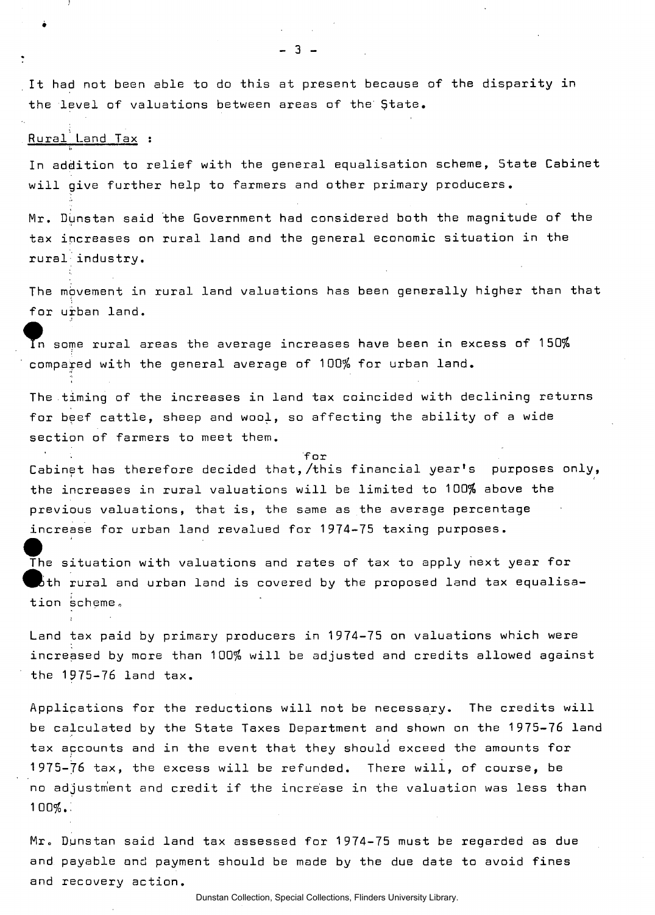It had not been able to do this at present because of the disparity in the level of valuations between areas of the State.

 $-3 -$ 

#### Rural Land Tax :

In addition to relief with the general equalisation scheme, State Cabinet will give further help to farmers and other primary producers.

Mr. Dunstan said the Government had considered both the magnitude of the tax increases on rural land and the general economic situation in the rural industry.

The movement in rural land valuations has been generally higher than that for urban land.

In some rural areas the average increases have been in excess of 150% compared with the general average of 100% for urban land.

The timing of the increases in land tax coincided with declining returns for beef cattle, sheep and wool, so affecting the ability of a wide section of farmers to meet them.

Cabinet has therefore decided that,/this financial year's purposes only, the increases in rural valuations will be limited to 100% above the previous valuations, that is, the same as the average percentage increase for urban land revalued for 1974-75 taxing purposes.

for

The situation with valuations and rates of tax to apply next year for bth rural and urban land is covered by the proposed land tax equalisation scheme.

Land tax paid by primary producers in 1974-75 on valuations which were increased by more than 100% will be adjusted and credits allowed against the 1975-76 land tax.

Applications for the reductions will not be necessary. The credits will be calculated by the State Taxes Department and shown on the 1975-76 land tax accounts and in the event that they should exceed the amounts for 1975-76 tax, the excess will be refunded. There will, of course, be no adjustment and credit if the increase in the valuation was less than 100%.:

Mr. Dunstan said land tax assessed for 1974-75 must be regarded as due and payable and payment should be made by the due date to avoid fines and recovery action.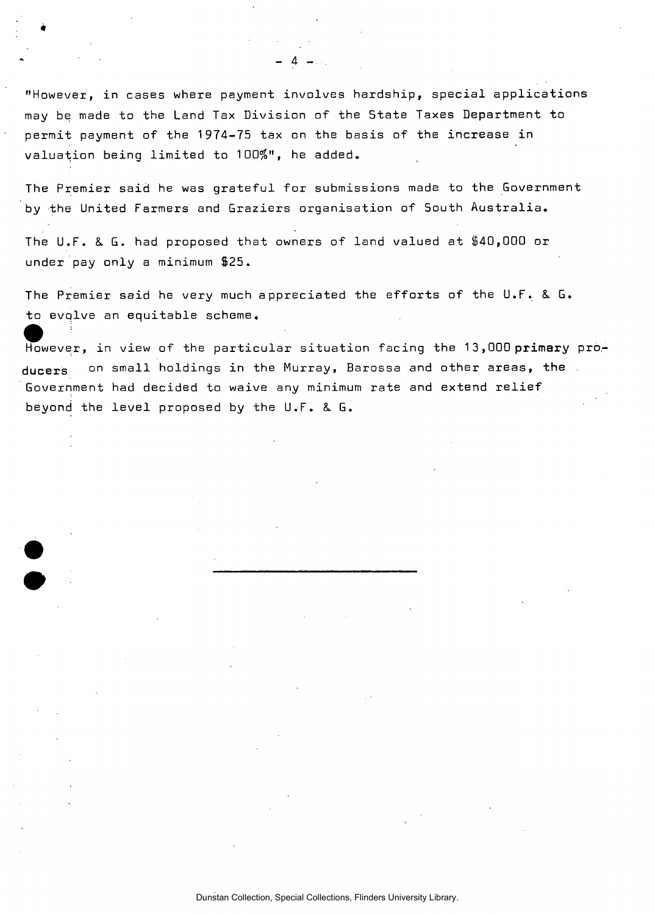"However, in cases where payment involves hardship, special applications may be made to the Land Tax Division of the State Taxes Department to permit payment of the 1974-75 tax on the basis of the increase in valuation being limited to 100\$", he added.

-

«

•

The Premier said he was grateful for submissions made to the Government by the United Farmers and Graziers organisation of South Australia.

The U.F. &. G. had proposed that owners of land valued at \$40,000 or under pay only a minimum \$25.

The Premier said he very much appreciated the efforts of the U.F. & G. to evolve an equitable scheme. 11 - 12 - 12 - 12 - 12 - 12 - 12 - 12

However, in view of the particular situation facing the 13,000 primary producers on small holdings in the Murray, Barossa and other areas, the Government had decided to waive any minimum rate and extend relief beyond the level proposed by the U.F. & G.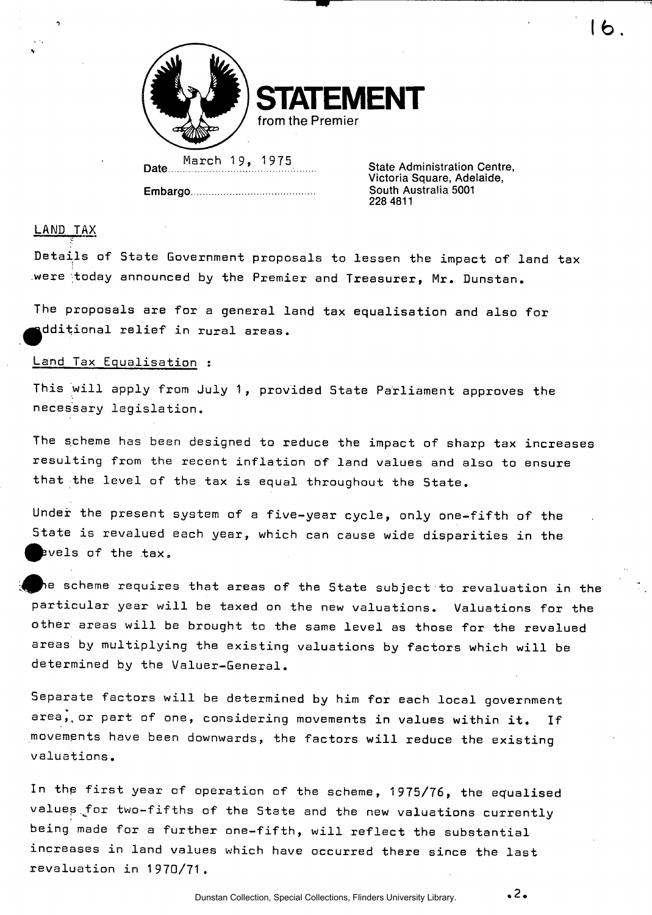

**STATEMENT from the Premier** 

Date.... March 19, 1975<br>
State Administration Centre,

**Embargo** 

**Victoria Square, Adelaide, South Australia 5001 228 4811** 

lb.

## LAND TAX

Details of State Government proposals to lessen the impact of land tax were today announced by the Premier and Treasurer, Mr. Dunstan.

The proposals are for a general land tax equalisation and also for ^^dditional relief in rural areas.

## Land Tax Equalisation :

This will apply from July 1, provided State Parliament approves the necessary legislation.

The scheme has been designed to reduce the impact of sharp tax increases resulting from the recent inflation of land values and also to ensure that the level of the tax is equal throughout the State.

Under the present system of a five-year cycle, only one-fifth of the State is revalued each year, which can cause wide disparities in the ^^vels of the tax.

he scheme requires that areas of the State subject to revaluation in the  $\,$ particular year will be taxed on the new valuations. Valuations for the other areas will be brought to the same level as those for the revalued areas by multiplying the existing valuations by factors which will be determined by the Valuer-General.

Separate factors will be determined by him for each local government area, or part of one, considering movements in values within it. If movements have been downwards, the factors will reduce the existing valuations.

In the first year of operation of the scheme, 1975/76, the equalised values for two-fifths of the State and the new valuations currently being made for a further one-fifth, will reflect the substantial increases in land values which have occurred there since the last revaluation in 1970/71.

**.2.**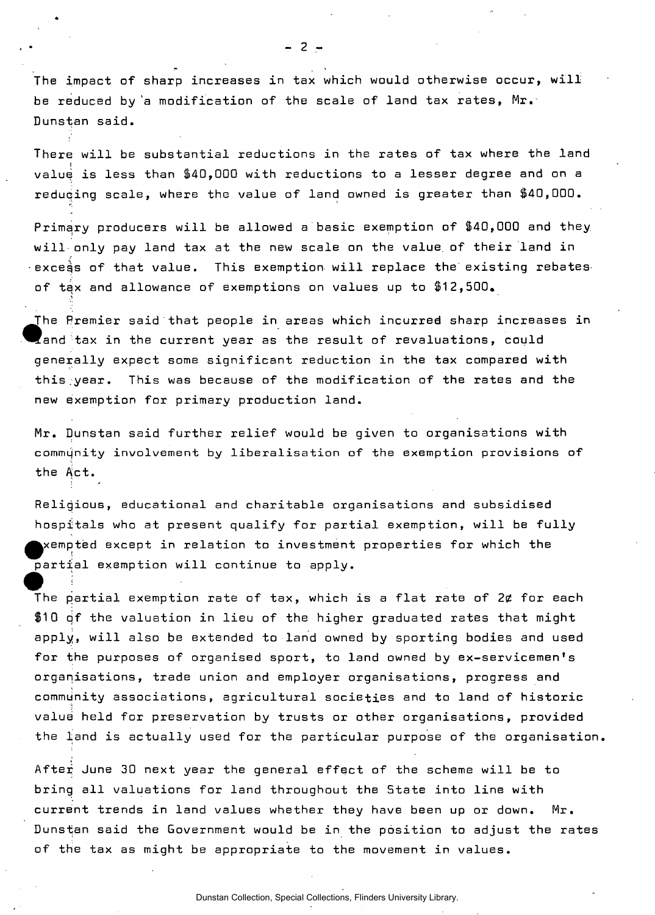The impact of sharp increases in tax which would otherwise occur, will be reduced by 'a modification of the scale of land tax rates, Mr. Dunstan said.

There will be substantial reductions in the rates of tax where the land  $\frac{1}{2}$ value is less than \$40,000 with reductions to a lesser degree and on a reducing scale, where the value of land owned is greater than \$40,000.

Primary producers will be allowed a basic exemption of \$40,000 and they, will only pay land tax at the new scale on the value, of their land in  $\cdot$ exce $\mathring{\mathsf{a}}$ s of that value. This exemption will replace the existing rebates of tax and allowance of exemptions on values up to \$12,500,

The Premier said that people in areas which incurred sharp increases in  $\blacksquare$  and tax in the current year as the result of revaluations, could generally expect some significant reduction in the tax compared with this.year. This was because of the modification of the rates and the new exemption for primary production land.

Mr. Dunstan said further relief would be given to organisations with commujnity involvement by liberalisation of the exemption provisions of the Act.

Religious, educational and charitable organisations and subsidised hospitals who at present qualify for partial exemption, will be fully  $\blacktriangleright$ xempted except in relation to investment properties for which the partial exemption will continue to apply.

• ! • The partial exemption rate of tax, which is a flat rate of 2¢ for each \$10 of the valuation in lieu of the higher graduated rates that might apply, will also be extended to land owned by sporting bodies and used for the purposes of organised sport, to land owned by ex-servicemen's organisations, trade union and employer organisations, progress and community associations, agricultural societies and to land of historic value held for preservation by trusts or other organisations, provided the land is actually used for the particular purpose of the organisation,

After June 30 next year the general effect of the scheme will be to bring all valuations for land throughout the State into line with current trends in land values whether they have been up or down. Mr. Dunstan said the Government would be in the position to adjust the rates of the tax as might be appropriate to the movement in values.

 $-2 -$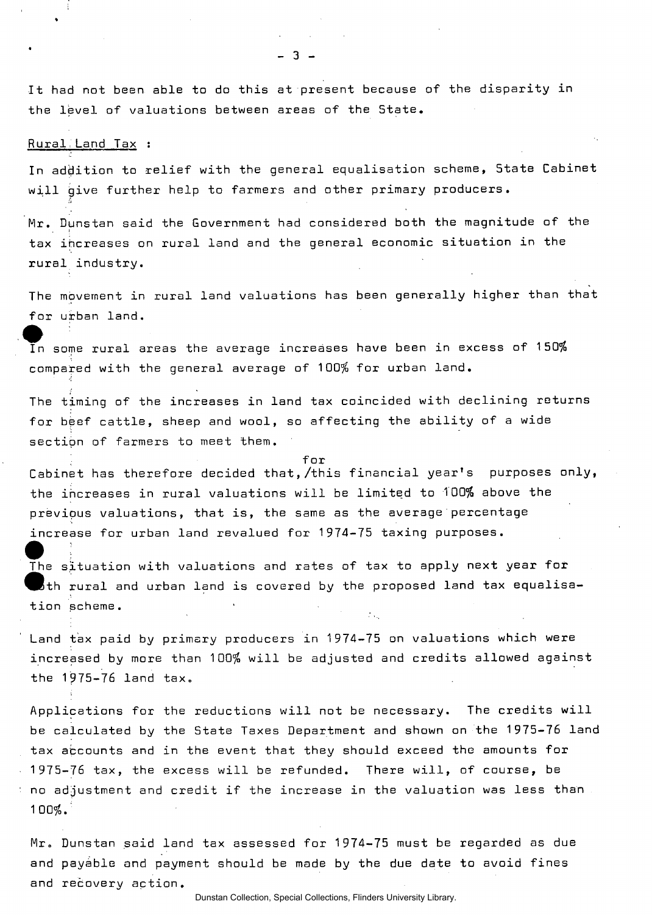It had not been able to do this at present because of the disparity in the level of valuations between areas of the State.

Rural, Land Tax :

 $\bullet$   $\bullet$   $\bullet$   $\bullet$ 

In addition to relief with the general equalisation scheme, State Cabinet will give further help to farmers and other primary producers.

Mr. Dunstan said the Government had considered both the magnitude of the tax increases on rural land and the general economic situation in the rural industry.

The movement in rural land valuations has been generally higher than that for urban land.

tor ur<br>In som In some rural areas the average increases have been in excess of 150% compared with the general average of 100% for urban land.

The timing of the increases in land tax coincided with declining returns for beef cattle, sheep and wool, so affecting the ability of a wide section of farmers to meet them.

Cabinet has therefore decided that,/this financial year's purposes only, the increases in rural valuations will be limited to 100% above the previous valuations, that is, the same as the average percentage increase for urban land revalued for 1974-75 taxing purposes.

for

The situation with valuations and rates of tax to apply next year for  $\,$  th rural and urban land is covered by the proposed land tax equalisation scheme.

Land tax paid by primary producers in 1974-75 on valuations which were increased by more than 100% will be adjusted and credits allowed against the 1975-76 land tax.

Applications for the reductions will not be necessary. The credits will be calculated by the State Taxes Department and shown on the 1975-76 land tax accounts and in the event that they should exceed the amounts for 1975-76 tax, the excess will be refunded. There will, of course, be no adjustment and credit if the increase in the valuation was less than 100%.'

Mr. Dunstan said land tax assessed for 1974-75 must be regarded as due and payable and payment should be made by the due date to avoid fines and recovery action.

Dunstan Collection, Special Collections, Flinders University Library.